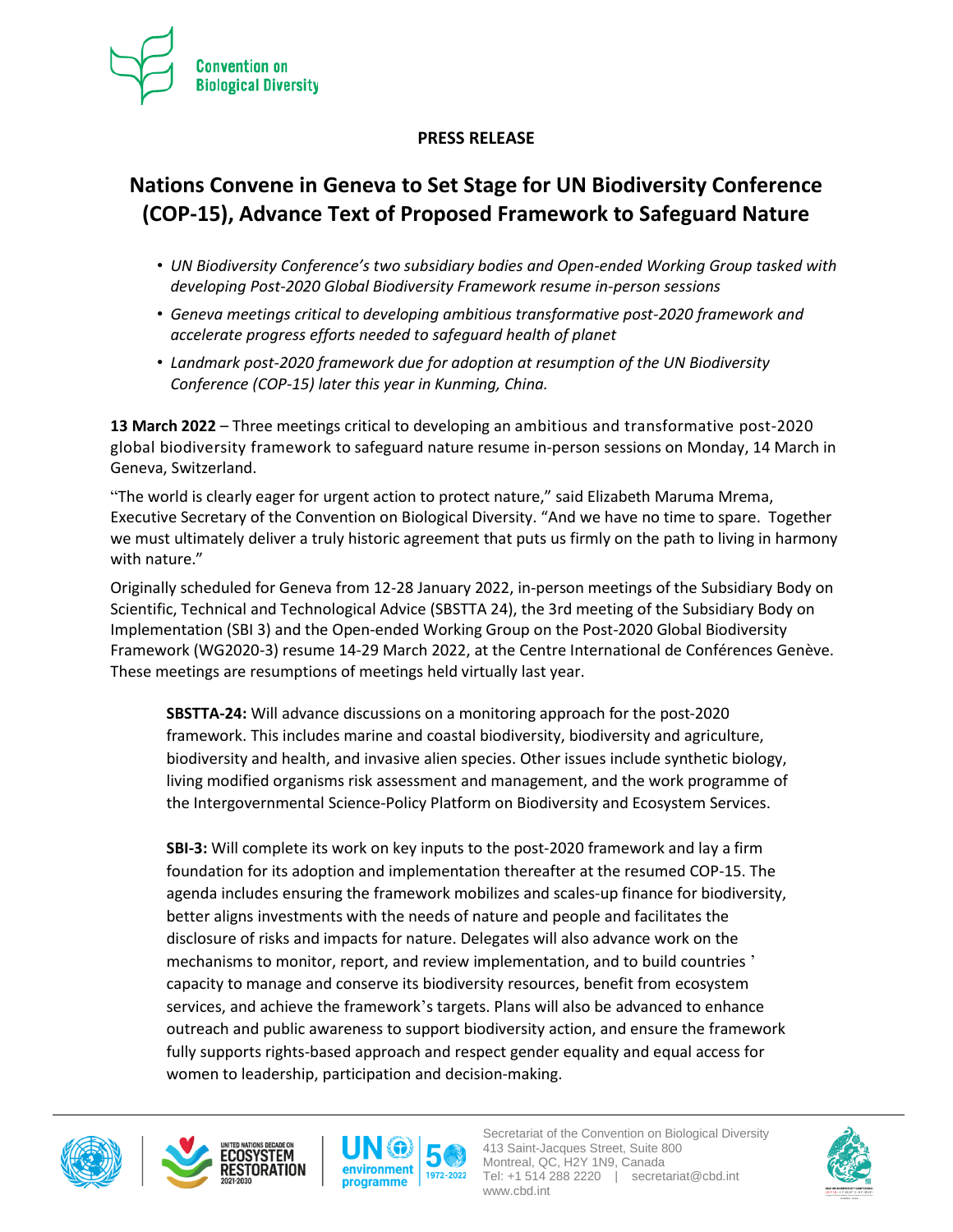

## **PRESS RELEASE**

## **Nations Convene in Geneva to Set Stage for UN Biodiversity Conference (COP-15), Advance Text of Proposed Framework to Safeguard Nature**

- *UN Biodiversity Conference's two subsidiary bodies and Open-ended Working Group tasked with developing Post-2020 Global Biodiversity Framework resume in-person sessions*
- *Geneva meetings critical to developing ambitious transformative post-2020 framework and accelerate progress efforts needed to safeguard health of planet*
- *Landmark post-2020 framework due for adoption at resumption of the UN Biodiversity Conference (COP-15) later this year in Kunming, China.*

**13 March 2022** – Three meetings critical to developing an ambitious and transformative post-2020 global biodiversity framework to safeguard nature resume in-person sessions on Monday, 14 March in Geneva, Switzerland.

"The world is clearly eager for urgent action to protect nature," said Elizabeth Maruma Mrema, Executive Secretary of the Convention on Biological Diversity. "And we have no time to spare. Together we must ultimately deliver a truly historic agreement that puts us firmly on the path to living in harmony with nature."

Originally scheduled for Geneva from 12-28 January 2022, in-person meetings of the Subsidiary Body on Scientific, Technical and Technological Advice (SBSTTA 24), the 3rd meeting of the Subsidiary Body on Implementation (SBI 3) and the Open-ended Working Group on the Post-2020 Global Biodiversity Framework (WG2020-3) resume 14-29 March 2022, at the Centre International de Conférences Genève. These meetings are resumptions of meetings held virtually last year.

**SBSTTA-24:** Will advance discussions on a monitoring approach for the post-2020 framework. This includes marine and coastal biodiversity, biodiversity and agriculture, biodiversity and health, and invasive alien species. Other issues include synthetic biology, living modified organisms risk assessment and management, and the work programme of the Intergovernmental Science-Policy Platform on Biodiversity and Ecosystem Services.

**SBI-3:** Will complete its work on key inputs to the post-2020 framework and lay a firm foundation for its adoption and implementation thereafter at the resumed COP-15. The agenda includes ensuring the framework mobilizes and scales-up finance for biodiversity, better aligns investments with the needs of nature and people and facilitates the disclosure of risks and impacts for nature. Delegates will also advance work on the mechanisms to monitor, report, and review implementation, and to build countries ' capacity to manage and conserve its biodiversity resources, benefit from ecosystem services, and achieve the framework's targets. Plans will also be advanced to enhance outreach and public awareness to support biodiversity action, and ensure the framework fully supports rights-based approach and respect gender equality and equal access for women to leadership, participation and decision-making.







Secretariat of the Convention on Biological Diversity 413 Saint-Jacques Street, Suite 800 Montreal, QC, H2Y 1N9, Canada Tel: +1 514 288 2220 | secretariat@cbd.int [www.cbd.int](http://www.cbd.int/)

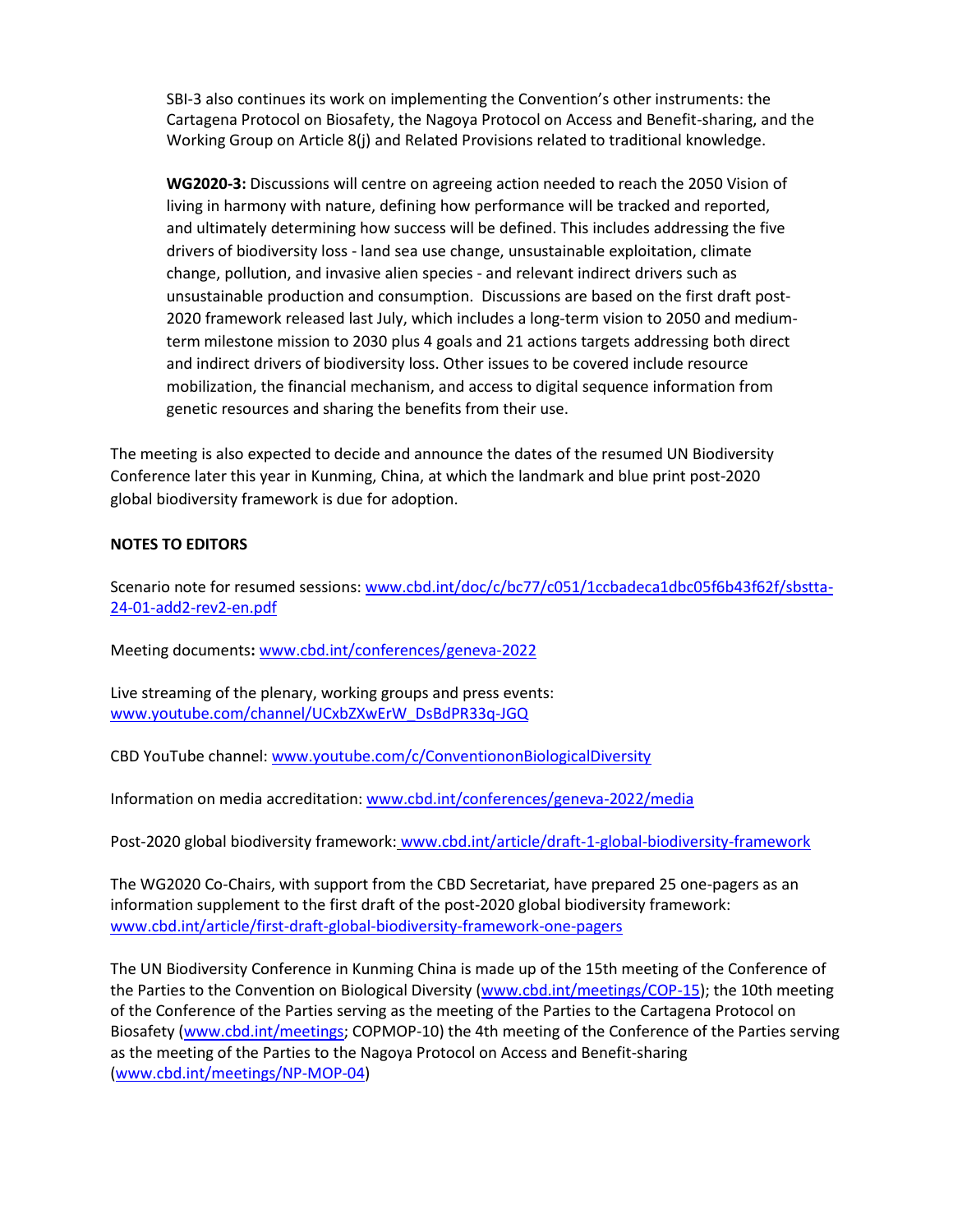SBI-3 also continues its work on implementing the Convention's other instruments: the Cartagena Protocol on Biosafety, the Nagoya Protocol on Access and Benefit-sharing, and the Working Group on Article 8(j) and Related Provisions related to traditional knowledge.

**WG2020-3:** Discussions will centre on agreeing action needed to reach the 2050 Vision of living in harmony with nature, defining how performance will be tracked and reported, and ultimately determining how success will be defined. This includes addressing the five drivers of biodiversity loss - land sea use change, unsustainable exploitation, climate change, pollution, and invasive alien species - and relevant indirect drivers such as unsustainable production and consumption. Discussions are based on the first draft post-2020 framework released last July, which includes a long-term vision to 2050 and mediumterm milestone mission to 2030 plus 4 goals and 21 actions targets addressing both direct and indirect drivers of biodiversity loss. Other issues to be covered include resource mobilization, the financial mechanism, and access to digital sequence information from genetic resources and sharing the benefits from their use.

The meeting is also expected to decide and announce the dates of the resumed UN Biodiversity Conference later this year in Kunming, China, at which the landmark and blue print post-2020 global biodiversity framework is due for adoption.

## **NOTES TO EDITORS**

Scenario note for resumed sessions[: www.cbd.int/doc/c/bc77/c051/1ccbadeca1dbc05f6b43f62f/sbstta-](http://www.cbd.int/doc/c/bc77/c051/1ccbadeca1dbc05f6b43f62f/sbstta-24-01-add2-rev2-en.pdf)[24-01-add2-rev2-en.pdf](http://www.cbd.int/doc/c/bc77/c051/1ccbadeca1dbc05f6b43f62f/sbstta-24-01-add2-rev2-en.pdf)

Meeting documents**:** [www.cbd.int/conferences/geneva-2022](http://www.cbd.int/conferences/geneva-2022)

Live streaming of the plenary, working groups and press events: [www.youtube.com/channel/UCxbZXwErW\\_DsBdPR33q-JGQ](http://www.youtube.com/channel/UCxbZXwErW_DsBdPR33q-JGQ)

CBD YouTube channel: [www.youtube.com/c/ConventiononBiologicalDiversity](http://www.youtube.com/c/ConventiononBiologicalDiversity)

Information on media accreditation: [www.cbd.int/conferences/geneva-2022/media](http://www.cbd.int/conferences/geneva-2022/media)

Post-2020 global biodiversity framework: [www.cbd.int/article/draft-1-global-biodiversity-framework](http://www.cbd.int/article/draft-1-global-biodiversity-framework)

The WG2020 Co-Chairs, with support from the CBD Secretariat, have prepared 25 one-pagers as an information supplement to the first draft of the post-2020 global biodiversity framework: [www.cbd.int/article/first-draft-global-biodiversity-framework-one-pagers](http://www.cbd.int/article/first-draft-global-biodiversity-framework-one-pagers)

The UN Biodiversity Conference in Kunming China is made up of the 15th meeting of the Conference of the Parties to the Convention on Biological Diversity [\(www.cbd.int/meetings/COP-15\)](http://www.cbd.int/meetings/COP-15); the 10th meeting of the Conference of the Parties serving as the meeting of the Parties to the Cartagena Protocol on Biosafety [\(www.cbd.int/meetings;](http://www.cbd.int/meetings) COPMOP-10) the 4th meeting of the Conference of the Parties serving as the meeting of the Parties to the Nagoya Protocol on Access and Benefit-sharing [\(www.cbd.int/meetings/NP-MOP-04\)](http://www.cbd.int/meetings/NP-MOP-04)